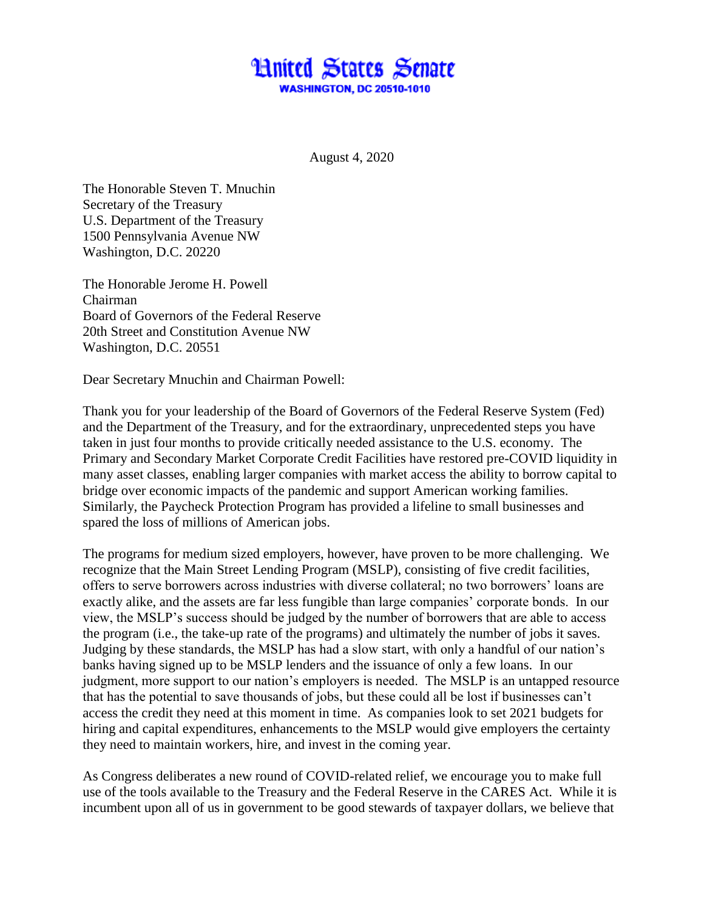## **Hnited States Senate WASHINGTON, DC 20510-1010**

August 4, 2020

The Honorable Steven T. Mnuchin Secretary of the Treasury U.S. Department of the Treasury 1500 Pennsylvania Avenue NW Washington, D.C. 20220

The Honorable Jerome H. Powell Chairman Board of Governors of the Federal Reserve 20th Street and Constitution Avenue NW Washington, D.C. 20551

Dear Secretary Mnuchin and Chairman Powell:

Thank you for your leadership of the Board of Governors of the Federal Reserve System (Fed) and the Department of the Treasury, and for the extraordinary, unprecedented steps you have taken in just four months to provide critically needed assistance to the U.S. economy. The Primary and Secondary Market Corporate Credit Facilities have restored pre-COVID liquidity in many asset classes, enabling larger companies with market access the ability to borrow capital to bridge over economic impacts of the pandemic and support American working families. Similarly, the Paycheck Protection Program has provided a lifeline to small businesses and spared the loss of millions of American jobs.

The programs for medium sized employers, however, have proven to be more challenging. We recognize that the Main Street Lending Program (MSLP), consisting of five credit facilities, offers to serve borrowers across industries with diverse collateral; no two borrowers' loans are exactly alike, and the assets are far less fungible than large companies' corporate bonds. In our view, the MSLP's success should be judged by the number of borrowers that are able to access the program (i.e., the take-up rate of the programs) and ultimately the number of jobs it saves. Judging by these standards, the MSLP has had a slow start, with only a handful of our nation's banks having signed up to be MSLP lenders and the issuance of only a few loans. In our judgment, more support to our nation's employers is needed. The MSLP is an untapped resource that has the potential to save thousands of jobs, but these could all be lost if businesses can't access the credit they need at this moment in time. As companies look to set 2021 budgets for hiring and capital expenditures, enhancements to the MSLP would give employers the certainty they need to maintain workers, hire, and invest in the coming year.

As Congress deliberates a new round of COVID-related relief, we encourage you to make full use of the tools available to the Treasury and the Federal Reserve in the CARES Act. While it is incumbent upon all of us in government to be good stewards of taxpayer dollars, we believe that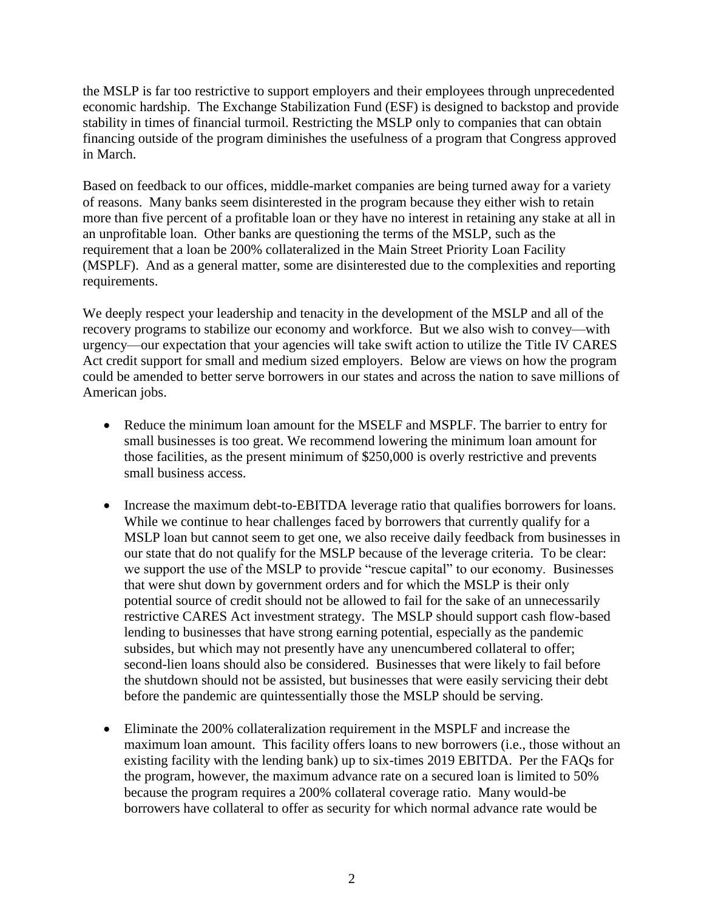the MSLP is far too restrictive to support employers and their employees through unprecedented economic hardship. The Exchange Stabilization Fund (ESF) is designed to backstop and provide stability in times of financial turmoil. Restricting the MSLP only to companies that can obtain financing outside of the program diminishes the usefulness of a program that Congress approved in March.

Based on feedback to our offices, middle-market companies are being turned away for a variety of reasons. Many banks seem disinterested in the program because they either wish to retain more than five percent of a profitable loan or they have no interest in retaining any stake at all in an unprofitable loan. Other banks are questioning the terms of the MSLP, such as the requirement that a loan be 200% collateralized in the Main Street Priority Loan Facility (MSPLF). And as a general matter, some are disinterested due to the complexities and reporting requirements.

We deeply respect your leadership and tenacity in the development of the MSLP and all of the recovery programs to stabilize our economy and workforce. But we also wish to convey—with urgency—our expectation that your agencies will take swift action to utilize the Title IV CARES Act credit support for small and medium sized employers. Below are views on how the program could be amended to better serve borrowers in our states and across the nation to save millions of American jobs.

- Reduce the minimum loan amount for the MSELF and MSPLF. The barrier to entry for small businesses is too great. We recommend lowering the minimum loan amount for those facilities, as the present minimum of \$250,000 is overly restrictive and prevents small business access.
- Increase the maximum debt-to-EBITDA leverage ratio that qualifies borrowers for loans. While we continue to hear challenges faced by borrowers that currently qualify for a MSLP loan but cannot seem to get one, we also receive daily feedback from businesses in our state that do not qualify for the MSLP because of the leverage criteria. To be clear: we support the use of the MSLP to provide "rescue capital" to our economy. Businesses that were shut down by government orders and for which the MSLP is their only potential source of credit should not be allowed to fail for the sake of an unnecessarily restrictive CARES Act investment strategy. The MSLP should support cash flow-based lending to businesses that have strong earning potential, especially as the pandemic subsides, but which may not presently have any unencumbered collateral to offer; second-lien loans should also be considered. Businesses that were likely to fail before the shutdown should not be assisted, but businesses that were easily servicing their debt before the pandemic are quintessentially those the MSLP should be serving.
- Eliminate the 200% collateralization requirement in the MSPLF and increase the maximum loan amount. This facility offers loans to new borrowers (i.e., those without an existing facility with the lending bank) up to six-times 2019 EBITDA. Per the FAQs for the program, however, the maximum advance rate on a secured loan is limited to 50% because the program requires a 200% collateral coverage ratio. Many would-be borrowers have collateral to offer as security for which normal advance rate would be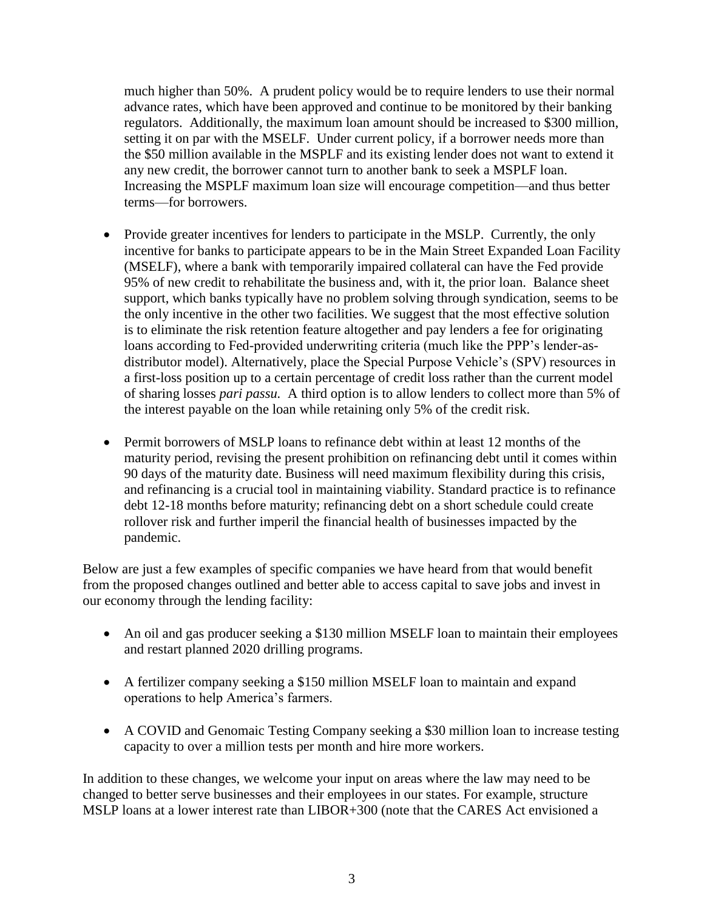much higher than 50%. A prudent policy would be to require lenders to use their normal advance rates, which have been approved and continue to be monitored by their banking regulators. Additionally, the maximum loan amount should be increased to \$300 million, setting it on par with the MSELF. Under current policy, if a borrower needs more than the \$50 million available in the MSPLF and its existing lender does not want to extend it any new credit, the borrower cannot turn to another bank to seek a MSPLF loan. Increasing the MSPLF maximum loan size will encourage competition—and thus better terms—for borrowers.

- Provide greater incentives for lenders to participate in the MSLP. Currently, the only incentive for banks to participate appears to be in the Main Street Expanded Loan Facility (MSELF), where a bank with temporarily impaired collateral can have the Fed provide 95% of new credit to rehabilitate the business and, with it, the prior loan. Balance sheet support, which banks typically have no problem solving through syndication, seems to be the only incentive in the other two facilities. We suggest that the most effective solution is to eliminate the risk retention feature altogether and pay lenders a fee for originating loans according to Fed-provided underwriting criteria (much like the PPP's lender-asdistributor model). Alternatively, place the Special Purpose Vehicle's (SPV) resources in a first-loss position up to a certain percentage of credit loss rather than the current model of sharing losses *pari passu.* A third option is to allow lenders to collect more than 5% of the interest payable on the loan while retaining only 5% of the credit risk.
- Permit borrowers of MSLP loans to refinance debt within at least 12 months of the maturity period, revising the present prohibition on refinancing debt until it comes within 90 days of the maturity date. Business will need maximum flexibility during this crisis, and refinancing is a crucial tool in maintaining viability. Standard practice is to refinance debt 12-18 months before maturity; refinancing debt on a short schedule could create rollover risk and further imperil the financial health of businesses impacted by the pandemic.

Below are just a few examples of specific companies we have heard from that would benefit from the proposed changes outlined and better able to access capital to save jobs and invest in our economy through the lending facility:

- An oil and gas producer seeking a \$130 million MSELF loan to maintain their employees and restart planned 2020 drilling programs.
- A fertilizer company seeking a \$150 million MSELF loan to maintain and expand operations to help America's farmers.
- A COVID and Genomaic Testing Company seeking a \$30 million loan to increase testing capacity to over a million tests per month and hire more workers.

In addition to these changes, we welcome your input on areas where the law may need to be changed to better serve businesses and their employees in our states. For example, structure MSLP loans at a lower interest rate than LIBOR+300 (note that the CARES Act envisioned a